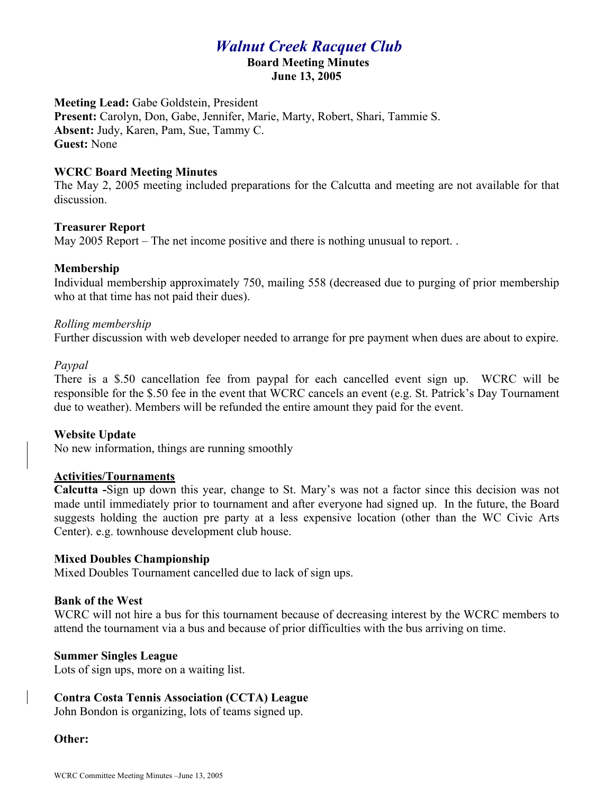# *Walnut Creek Racquet Club*

# **Board Meeting Minutes**

**June 13, 2005**

**Meeting Lead:** Gabe Goldstein, President **Present:** Carolyn, Don, Gabe, Jennifer, Marie, Marty, Robert, Shari, Tammie S. **Absent:** Judy, Karen, Pam, Sue, Tammy C. **Guest:** None

## **WCRC Board Meeting Minutes**

The May 2, 2005 meeting included preparations for the Calcutta and meeting are not available for that discussion.

## **Treasurer Report**

May 2005 Report – The net income positive and there is nothing unusual to report. .

## **Membership**

Individual membership approximately 750, mailing 558 (decreased due to purging of prior membership who at that time has not paid their dues).

## *Rolling membership*

Further discussion with web developer needed to arrange for pre payment when dues are about to expire.

#### *Paypal*

There is a \$.50 cancellation fee from paypal for each cancelled event sign up. WCRC will be responsible for the \$.50 fee in the event that WCRC cancels an event (e.g. St. Patrick's Day Tournament due to weather). Members will be refunded the entire amount they paid for the event.

#### **Website Update**

No new information, things are running smoothly

#### **Activities/Tournaments**

**Calcutta -**Sign up down this year, change to St. Mary's was not a factor since this decision was not made until immediately prior to tournament and after everyone had signed up. In the future, the Board suggests holding the auction pre party at a less expensive location (other than the WC Civic Arts Center). e.g. townhouse development club house.

#### **Mixed Doubles Championship**

Mixed Doubles Tournament cancelled due to lack of sign ups.

#### **Bank of the West**

WCRC will not hire a bus for this tournament because of decreasing interest by the WCRC members to attend the tournament via a bus and because of prior difficulties with the bus arriving on time.

#### **Summer Singles League**

Lots of sign ups, more on a waiting list.

#### **Contra Costa Tennis Association (CCTA) League**

John Bondon is organizing, lots of teams signed up.

#### **Other:**